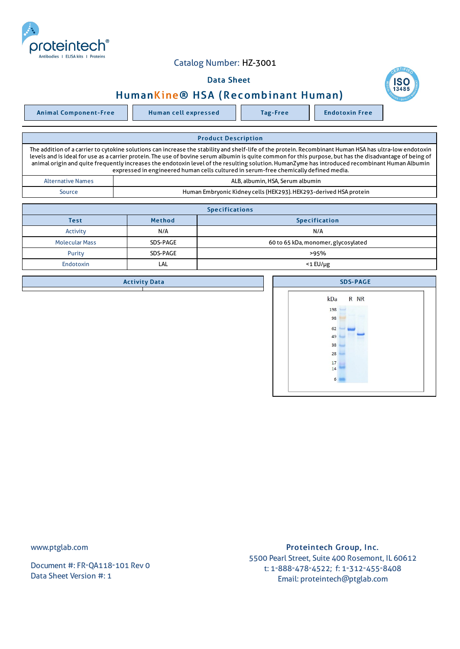

## Catalog Number: HZ-3001

## Data Sheet



Animal Component-Free | Human cell expressed | Tag-Free | Endotoxin Free

**ISC** 

| <b>Product Description</b>                                                                                                                                                                                                                                                                                                                                                                                                                                                                                                                                    |  |  |  |  |  |  |
|---------------------------------------------------------------------------------------------------------------------------------------------------------------------------------------------------------------------------------------------------------------------------------------------------------------------------------------------------------------------------------------------------------------------------------------------------------------------------------------------------------------------------------------------------------------|--|--|--|--|--|--|
| The addition of a carrier to cytokine solutions can increase the stability and shelf-life of the protein. Recombinant Human HSA has ultra-low endotoxin<br>levels and is ideal for use as a carrier protein. The use of bovine serum albumin is quite common for this purpose, but has the disadvantage of being of<br>animal origin and quite frequently increases the endotoxin level of the resulting solution. HumanZyme has introduced recombinant Human Albumin<br>expressed in engineered human cells cultured in serum-free chemically defined media. |  |  |  |  |  |  |
| ALB, albumin, HSA, Serum albumin<br><b>Alternative Names</b>                                                                                                                                                                                                                                                                                                                                                                                                                                                                                                  |  |  |  |  |  |  |
| Human Embryonic Kidney cells (HEK293). HEK293-derived HSA protein<br>Source                                                                                                                                                                                                                                                                                                                                                                                                                                                                                   |  |  |  |  |  |  |

| <b>Specifications</b>                         |          |                                     |  |  |  |
|-----------------------------------------------|----------|-------------------------------------|--|--|--|
| <b>Method</b><br><b>Specification</b><br>Test |          |                                     |  |  |  |
| Activity                                      | N/A      | N/A                                 |  |  |  |
| <b>Molecular Mass</b>                         | SDS-PAGE | 60 to 65 kDa, monomer, glycosylated |  |  |  |
| Purity                                        | SDS-PAGE | >95%                                |  |  |  |
| <b>Endotoxin</b>                              | LAL      | <1 EU/µg                            |  |  |  |

|  | <b>SDS-PAGE</b> |  |  |  |          |  |  |      |  |  |  |
|--|-----------------|--|--|--|----------|--|--|------|--|--|--|
|  |                 |  |  |  | kDa      |  |  | R NR |  |  |  |
|  |                 |  |  |  | 198      |  |  |      |  |  |  |
|  |                 |  |  |  | 98       |  |  |      |  |  |  |
|  |                 |  |  |  | 62       |  |  |      |  |  |  |
|  |                 |  |  |  | 49       |  |  |      |  |  |  |
|  |                 |  |  |  | 38       |  |  |      |  |  |  |
|  |                 |  |  |  | 28       |  |  |      |  |  |  |
|  |                 |  |  |  | 17<br>14 |  |  |      |  |  |  |
|  |                 |  |  |  |          |  |  |      |  |  |  |

 $6 - 6$ 

**Activity Data** 

www.ptglab.com

Document #: FR-QA118-101 Rev 0 Data Sheet Version #: 1

Proteintech Group, Inc. 5500 Pearl Street, Suite 400 Rosemont, IL 60612 t: 1-888-478-4522; f: 1-312-455-8408 Email: proteintech@ptglab.com